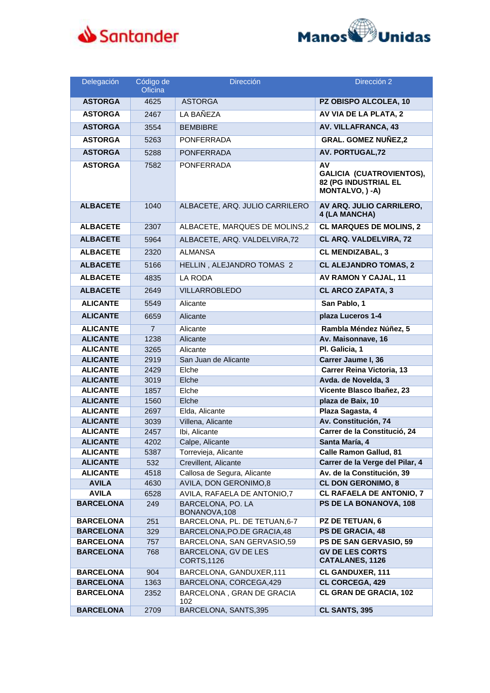



| Delegación                       | Código de<br>Oficina | <b>Dirección</b>                                 | Dirección 2                                                                |
|----------------------------------|----------------------|--------------------------------------------------|----------------------------------------------------------------------------|
| <b>ASTORGA</b>                   | 4625                 | <b>ASTORGA</b>                                   | PZ OBISPO ALCOLEA, 10                                                      |
| <b>ASTORGA</b>                   | 2467                 | LA BAÑEZA                                        | AV VIA DE LA PLATA, 2                                                      |
| <b>ASTORGA</b>                   | 3554                 | <b>BEMBIBRE</b>                                  | <b>AV. VILLAFRANCA, 43</b>                                                 |
| <b>ASTORGA</b>                   | 5263                 | <b>PONFERRADA</b>                                | <b>GRAL. GOMEZ NUÑEZ,2</b>                                                 |
| <b>ASTORGA</b>                   | 5288                 | <b>PONFERRADA</b>                                | <b>AV. PORTUGAL, 72</b>                                                    |
| <b>ASTORGA</b>                   | 7582                 | <b>PONFERRADA</b>                                | AV                                                                         |
|                                  |                      |                                                  | <b>GALICIA (CUATROVIENTOS),</b><br>82 (PG INDUSTRIAL EL<br>MONTALVO, ) -A) |
| <b>ALBACETE</b>                  | 1040                 | ALBACETE, ARQ. JULIO CARRILERO                   | AV ARQ. JULIO CARRILERO,<br>4 (LA MANCHA)                                  |
| <b>ALBACETE</b>                  | 2307                 | ALBACETE, MARQUES DE MOLINS,2                    | <b>CL MARQUES DE MOLINS, 2</b>                                             |
| <b>ALBACETE</b>                  | 5964                 | ALBACETE, ARQ. VALDELVIRA, 72                    | CL ARQ. VALDELVIRA, 72                                                     |
| <b>ALBACETE</b>                  | 2320                 | ALMANSA                                          | <b>CL MENDIZABAL, 3</b>                                                    |
| <b>ALBACETE</b>                  | 5166                 | HELLIN, ALEJANDRO TOMAS 2                        | <b>CL ALEJANDRO TOMAS, 2</b>                                               |
| <b>ALBACETE</b>                  | 4835                 | <b>LA RODA</b>                                   | AV RAMON Y CAJAL, 11                                                       |
| <b>ALBACETE</b>                  | 2649                 | <b>VILLARROBLEDO</b>                             | <b>CL ARCO ZAPATA, 3</b>                                                   |
| <b>ALICANTE</b>                  | 5549                 | Alicante                                         | San Pablo, 1                                                               |
|                                  |                      |                                                  |                                                                            |
| <b>ALICANTE</b>                  | 6659                 | Alicante                                         | plaza Luceros 1-4                                                          |
| <b>ALICANTE</b>                  | $\overline{7}$       | Alicante                                         | Rambla Méndez Núñez, 5                                                     |
| <b>ALICANTE</b>                  | 1238                 | Alicante                                         | Av. Maisonnave, 16                                                         |
| <b>ALICANTE</b>                  | 3265                 | Alicante                                         | Pl. Galicia, 1                                                             |
| <b>ALICANTE</b>                  | 2919                 | San Juan de Alicante                             | Carrer Jaume I, 36                                                         |
| <b>ALICANTE</b>                  | 2429                 | Elche                                            | Carrer Reina Victoria, 13                                                  |
| <b>ALICANTE</b>                  | 3019                 | Elche                                            | Avda. de Novelda, 3                                                        |
| <b>ALICANTE</b>                  | 1857                 | Elche                                            | Vicente Blasco Ibañez, 23<br>plaza de Baix, 10                             |
| <b>ALICANTE</b>                  | 1560                 | Elche                                            |                                                                            |
| <b>ALICANTE</b>                  | 2697                 | Elda, Alicante                                   | Plaza Sagasta, 4                                                           |
| <b>ALICANTE</b>                  | 3039                 | Villena, Alicante                                | Av. Constitución, 74                                                       |
| <b>ALICANTE</b>                  | 2457                 | Ibi, Alicante                                    | Carrer de la Constitució, 24                                               |
| <b>ALICANTE</b>                  | 4202                 | Calpe, Alicante                                  | Santa María, 4                                                             |
| <b>ALICANTE</b>                  | 5387                 | Torrevieja, Alicante                             | <b>Calle Ramon Gallud, 81</b>                                              |
| <b>ALICANTE</b>                  | 532                  | Crevillent, Alicante                             | Carrer de la Verge del Pilar, 4                                            |
| <b>ALICANTE</b>                  | 4518                 | Callosa de Segura, Alicante                      | Av. de la Constitución, 39                                                 |
| <b>AVILA</b>                     | 4630                 | AVILA, DON GERONIMO,8                            | <b>CL DON GERONIMO, 8</b>                                                  |
| <b>AVILA</b><br><b>BARCELONA</b> | 6528                 | AVILA, RAFAELA DE ANTONIO,7<br>BARCELONA, PO. LA | <b>CL RAFAELA DE ANTONIO, 7</b><br>PS DE LA BONANOVA, 108                  |
|                                  | 249                  | BONANOVA, 108                                    |                                                                            |
| <b>BARCELONA</b>                 | 251                  | BARCELONA, PL. DE TETUAN, 6-7                    | PZ DE TETUAN, 6                                                            |
| <b>BARCELONA</b>                 | 329                  | BARCELONA, PO.DE GRACIA, 48                      | PS DE GRACIA, 48                                                           |
| <b>BARCELONA</b>                 | 757                  | BARCELONA, SAN GERVASIO,59                       | PS DE SAN GERVASIO, 59                                                     |
| <b>BARCELONA</b>                 | 768                  | BARCELONA, GV DE LES<br>CORTS, 1126              | <b>GV DE LES CORTS</b><br><b>CATALANES, 1126</b>                           |
| <b>BARCELONA</b>                 | 904                  | BARCELONA, GANDUXER, 111                         | <b>CL GANDUXER, 111</b>                                                    |
| <b>BARCELONA</b>                 | 1363                 | BARCELONA, CORCEGA, 429                          | <b>CL CORCEGA, 429</b>                                                     |
| <b>BARCELONA</b>                 | 2352                 | BARCELONA, GRAN DE GRACIA<br>102                 | <b>CL GRAN DE GRACIA, 102</b>                                              |
| <b>BARCELONA</b>                 | 2709                 | BARCELONA, SANTS,395                             | <b>CL SANTS, 395</b>                                                       |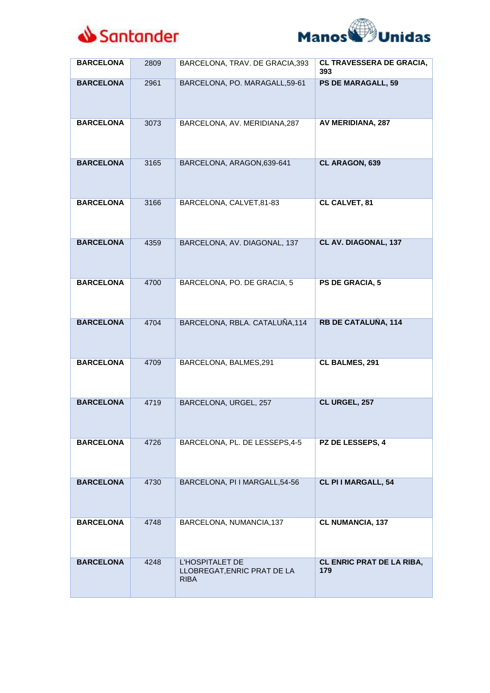



| <b>BARCELONA</b> | 2809 | BARCELONA, TRAV. DE GRACIA, 393                                      | CL TRAVESSERA DE GRACIA,<br>393         |
|------------------|------|----------------------------------------------------------------------|-----------------------------------------|
| <b>BARCELONA</b> | 2961 | BARCELONA, PO. MARAGALL, 59-61                                       | <b>PS DE MARAGALL, 59</b>               |
| <b>BARCELONA</b> | 3073 | BARCELONA, AV. MERIDIANA, 287                                        | AV MERIDIANA, 287                       |
| <b>BARCELONA</b> | 3165 | BARCELONA, ARAGON, 639-641                                           | CL ARAGON, 639                          |
| <b>BARCELONA</b> | 3166 | BARCELONA, CALVET, 81-83                                             | CL CALVET, 81                           |
| <b>BARCELONA</b> | 4359 | BARCELONA, AV. DIAGONAL, 137                                         | CL AV. DIAGONAL, 137                    |
| <b>BARCELONA</b> | 4700 | BARCELONA, PO. DE GRACIA, 5                                          | PS DE GRACIA, 5                         |
| <b>BARCELONA</b> | 4704 | BARCELONA, RBLA. CATALUÑA, 114                                       | <b>RB DE CATALUÑA, 114</b>              |
| <b>BARCELONA</b> | 4709 | BARCELONA, BALMES,291                                                | CL BALMES, 291                          |
| <b>BARCELONA</b> | 4719 | BARCELONA, URGEL, 257                                                | CL URGEL, 257                           |
| <b>BARCELONA</b> | 4726 | BARCELONA, PL. DE LESSEPS, 4-5                                       | PZ DE LESSEPS, 4                        |
| <b>BARCELONA</b> | 4730 | BARCELONA, PI I MARGALL, 54-56                                       | CL PI I MARGALL, 54                     |
| <b>BARCELONA</b> | 4748 | BARCELONA, NUMANCIA, 137                                             | <b>CL NUMANCIA, 137</b>                 |
| <b>BARCELONA</b> | 4248 | <b>L'HOSPITALET DE</b><br>LLOBREGAT, ENRIC PRAT DE LA<br><b>RIBA</b> | <b>CL ENRIC PRAT DE LA RIBA,</b><br>179 |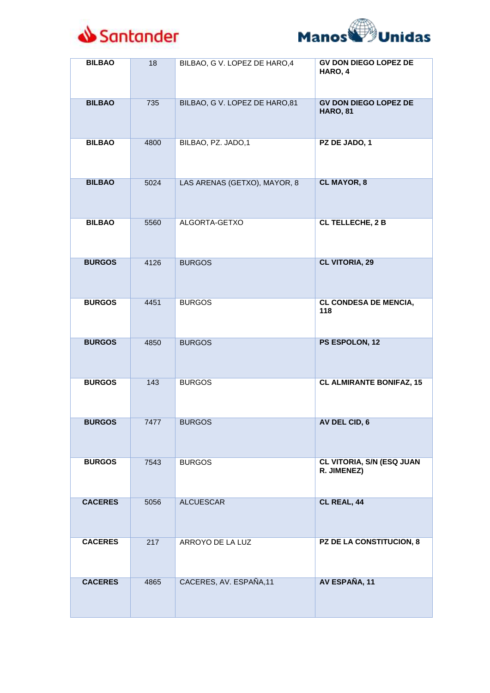



| <b>BILBAO</b>  | 18   | BILBAO, G V. LOPEZ DE HARO, 4 | <b>GV DON DIEGO LOPEZ DE</b><br>HARO, 4         |
|----------------|------|-------------------------------|-------------------------------------------------|
| <b>BILBAO</b>  | 735  | BILBAO, G V. LOPEZ DE HARO,81 | <b>GV DON DIEGO LOPEZ DE</b><br><b>HARO, 81</b> |
| <b>BILBAO</b>  | 4800 | BILBAO, PZ. JADO,1            | PZ DE JADO, 1                                   |
| <b>BILBAO</b>  | 5024 | LAS ARENAS (GETXO), MAYOR, 8  | <b>CL MAYOR, 8</b>                              |
| <b>BILBAO</b>  | 5560 | ALGORTA-GETXO                 | <b>CL TELLECHE, 2 B</b>                         |
| <b>BURGOS</b>  | 4126 | <b>BURGOS</b>                 | <b>CL VITORIA, 29</b>                           |
| <b>BURGOS</b>  | 4451 | <b>BURGOS</b>                 | <b>CL CONDESA DE MENCIA,</b><br>118             |
| <b>BURGOS</b>  | 4850 | <b>BURGOS</b>                 | PS ESPOLON, 12                                  |
| <b>BURGOS</b>  | 143  | <b>BURGOS</b>                 | <b>CL ALMIRANTE BONIFAZ, 15</b>                 |
| <b>BURGOS</b>  | 7477 | <b>BURGOS</b>                 | AV DEL CID, 6                                   |
| <b>BURGOS</b>  | 7543 | <b>BURGOS</b>                 | CL VITORIA, S/N (ESQ JUAN<br>R. JIMENEZ)        |
| <b>CACERES</b> | 5056 | <b>ALCUESCAR</b>              | CL REAL, 44                                     |
| <b>CACERES</b> | 217  | ARROYO DE LA LUZ              | PZ DE LA CONSTITUCION, 8                        |
| <b>CACERES</b> | 4865 | CACERES, AV. ESPAÑA, 11       | AV ESPAÑA, 11                                   |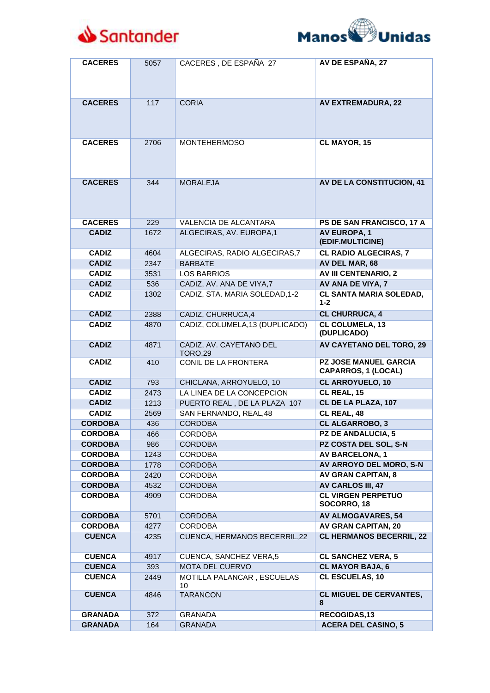



| <b>CACERES</b> | 5057 | CACERES, DE ESPAÑA 27                     | AV DE ESPAÑA, 27                                           |
|----------------|------|-------------------------------------------|------------------------------------------------------------|
| <b>CACERES</b> | 117  | <b>CORIA</b>                              | <b>AV EXTREMADURA, 22</b>                                  |
|                |      |                                           |                                                            |
| <b>CACERES</b> | 2706 | <b>MONTEHERMOSO</b>                       | CL MAYOR, 15                                               |
| <b>CACERES</b> | 344  | <b>MORALEJA</b>                           | AV DE LA CONSTITUCION, 41                                  |
| <b>CACERES</b> | 229  | <b>VALENCIA DE ALCANTARA</b>              | PS DE SAN FRANCISCO, 17 A                                  |
| <b>CADIZ</b>   | 1672 | ALGECIRAS, AV. EUROPA,1                   | <b>AV EUROPA, 1</b><br>(EDIF.MULTICINE)                    |
| <b>CADIZ</b>   | 4604 | ALGECIRAS, RADIO ALGECIRAS, 7             | <b>CL RADIO ALGECIRAS, 7</b>                               |
| <b>CADIZ</b>   | 2347 | <b>BARBATE</b>                            | AV DEL MAR, 68                                             |
| <b>CADIZ</b>   | 3531 | <b>LOS BARRIOS</b>                        | <b>AV III CENTENARIO, 2</b>                                |
| <b>CADIZ</b>   | 536  | CADIZ, AV. ANA DE VIYA,7                  | AV ANA DE VIYA, 7                                          |
| <b>CADIZ</b>   | 1302 | CADIZ, STA. MARIA SOLEDAD, 1-2            | CL SANTA MARIA SOLEDAD,<br>$1 - 2$                         |
| <b>CADIZ</b>   | 2388 | CADIZ, CHURRUCA,4                         | <b>CL CHURRUCA, 4</b>                                      |
| <b>CADIZ</b>   | 4870 | CADIZ, COLUMELA, 13 (DUPLICADO)           | <b>CL COLUMELA, 13</b><br>(DUPLICADO)                      |
| <b>CADIZ</b>   | 4871 | CADIZ, AV. CAYETANO DEL<br><b>TORO,29</b> | <b>AV CAYETANO DEL TORO, 29</b>                            |
| <b>CADIZ</b>   | 410  | CONIL DE LA FRONTERA                      | <b>PZ JOSE MANUEL GARCIA</b><br><b>CAPARROS, 1 (LOCAL)</b> |
| <b>CADIZ</b>   | 793  | CHICLANA, ARROYUELO, 10                   | CL ARROYUELO, 10                                           |
| <b>CADIZ</b>   | 2473 | LA LINEA DE LA CONCEPCION                 | CL REAL, 15                                                |
| <b>CADIZ</b>   | 1213 | PUERTO REAL, DE LA PLAZA 107              | CL DE LA PLAZA, 107                                        |
| <b>CADIZ</b>   | 2569 | SAN FERNANDO, REAL, 48                    | CL REAL, 48                                                |
| <b>CORDOBA</b> | 436  | <b>CORDOBA</b>                            | <b>CL ALGARROBO, 3</b>                                     |
| <b>CORDOBA</b> | 466  | <b>CORDOBA</b>                            | <b>PZ DE ANDALUCIA, 5</b>                                  |
| <b>CORDOBA</b> | 986  | <b>CORDOBA</b>                            | PZ COSTA DEL SOL, S-N                                      |
| <b>CORDOBA</b> | 1243 | <b>CORDOBA</b>                            | <b>AV BARCELONA, 1</b>                                     |
| <b>CORDOBA</b> | 1778 | <b>CORDOBA</b>                            | <b>AV ARROYO DEL MORO, S-N</b>                             |
| <b>CORDOBA</b> | 2420 | <b>CORDOBA</b>                            | <b>AV GRAN CAPITAN, 8</b>                                  |
| <b>CORDOBA</b> | 4532 | <b>CORDOBA</b>                            | <b>AV CARLOS III, 47</b>                                   |
| <b>CORDOBA</b> | 4909 | <b>CORDOBA</b>                            | <b>CL VIRGEN PERPETUO</b><br>SOCORRO, 18                   |
| <b>CORDOBA</b> | 5701 | <b>CORDOBA</b>                            | <b>AV ALMOGAVARES, 54</b>                                  |
| <b>CORDOBA</b> | 4277 | <b>CORDOBA</b>                            | <b>AV GRAN CAPITAN, 20</b>                                 |
| <b>CUENCA</b>  | 4235 | CUENCA, HERMANOS BECERRIL, 22             | <b>CL HERMANOS BECERRIL, 22</b>                            |
| <b>CUENCA</b>  | 4917 | CUENCA, SANCHEZ VERA,5                    | <b>CL SANCHEZ VERA, 5</b>                                  |
| <b>CUENCA</b>  | 393  | MOTA DEL CUERVO                           | <b>CL MAYOR BAJA, 6</b>                                    |
| <b>CUENCA</b>  | 2449 | MOTILLA PALANCAR, ESCUELAS<br>10          | CL ESCUELAS, 10                                            |
| <b>CUENCA</b>  | 4846 | <b>TARANCON</b>                           | <b>CL MIGUEL DE CERVANTES,</b><br>8                        |
| <b>GRANADA</b> | 372  | <b>GRANADA</b>                            | RECOGIDAS,13                                               |
| <b>GRANADA</b> | 164  | <b>GRANADA</b>                            | <b>ACERA DEL CASINO, 5</b>                                 |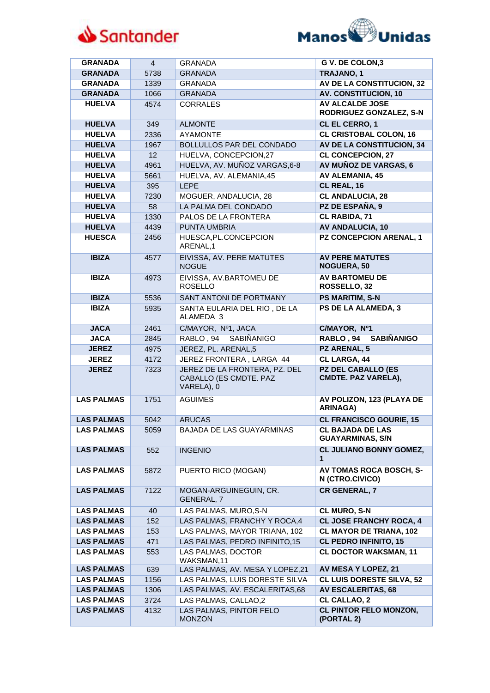



| <b>GRANADA</b>    | $\overline{4}$ | <b>GRANADA</b>                                                        | G V. DE COLON, 3                                   |
|-------------------|----------------|-----------------------------------------------------------------------|----------------------------------------------------|
| <b>GRANADA</b>    | 5738           | <b>GRANADA</b>                                                        | TRAJANO, 1                                         |
| <b>GRANADA</b>    | 1339           | <b>GRANADA</b>                                                        | <b>AV DE LA CONSTITUCION, 32</b>                   |
| <b>GRANADA</b>    | 1066           | <b>GRANADA</b>                                                        | <b>AV. CONSTITUCION, 10</b>                        |
| <b>HUELVA</b>     | 4574           | CORRALES                                                              | <b>AV ALCALDE JOSE</b><br>RODRIGUEZ GONZALEZ, S-N  |
| <b>HUELVA</b>     | 349            | <b>ALMONTE</b>                                                        | CL EL CERRO, 1                                     |
| <b>HUELVA</b>     | 2336           | <b>AYAMONTE</b>                                                       | <b>CL CRISTOBAL COLON, 16</b>                      |
| <b>HUELVA</b>     | 1967           | BOLLULLOS PAR DEL CONDADO                                             | <b>AV DE LA CONSTITUCION, 34</b>                   |
| <b>HUELVA</b>     | 12             | HUELVA, CONCEPCION,27                                                 | <b>CL CONCEPCION, 27</b>                           |
| <b>HUELVA</b>     | 4961           | HUELVA, AV. MUÑOZ VARGAS, 6-8                                         | AV MUÑOZ DE VARGAS, 6                              |
| <b>HUELVA</b>     | 5661           | HUELVA, AV. ALEMANIA, 45                                              | <b>AV ALEMANIA, 45</b>                             |
| <b>HUELVA</b>     | 395            | <b>LEPE</b>                                                           | CL REAL, 16                                        |
| <b>HUELVA</b>     | 7230           | MOGUER, ANDALUCIA, 28                                                 | <b>CL ANDALUCIA, 28</b>                            |
| <b>HUELVA</b>     | 58             | LA PALMA DEL CONDADO                                                  | PZ DE ESPAÑA, 9                                    |
| <b>HUELVA</b>     | 1330           | PALOS DE LA FRONTERA                                                  | <b>CL RABIDA, 71</b>                               |
| <b>HUELVA</b>     | 4439           | PUNTA UMBRIA                                                          | <b>AV ANDALUCIA, 10</b>                            |
| <b>HUESCA</b>     | 2456           | HUESCA, PL.CONCEPCION<br>ARENAL.1                                     | <b>PZ CONCEPCION ARENAL, 1</b>                     |
| <b>IBIZA</b>      | 4577           | EIVISSA, AV. PERE MATUTES<br><b>NOGUE</b>                             | <b>AV PERE MATUTES</b><br><b>NOGUERA, 50</b>       |
| <b>IBIZA</b>      | 4973           | EIVISSA, AV.BARTOMEU DE<br><b>ROSELLO</b>                             | <b>AV BARTOMEU DE</b><br>ROSSELLO, 32              |
| <b>IBIZA</b>      | 5536           | SANT ANTONI DE PORTMANY                                               | <b>PS MARITIM, S-N</b>                             |
| <b>IBIZA</b>      | 5935           | SANTA EULARIA DEL RIO, DE LA<br>ALAMEDA 3                             | PS DE LA ALAMEDA, 3                                |
| <b>JACA</b>       | 2461           | C/MAYOR, Nº1, JACA                                                    | C/MAYOR, Nº1                                       |
| <b>JACA</b>       | 2845           | RABLO, 94<br><b>SABIÑANIGO</b>                                        | <b>SABIÑANIGO</b><br>RABLO, 94                     |
| <b>JEREZ</b>      | 4975           | JEREZ, PL. ARENAL,5                                                   | PZ ARENAL, 5                                       |
| <b>JEREZ</b>      | 4172           | JEREZ FRONTERA, LARGA 44                                              | <b>CL LARGA, 44</b>                                |
| <b>JEREZ</b>      | 7323           | JEREZ DE LA FRONTERA, PZ. DEL<br>CABALLO (ES CMDTE. PAZ<br>VARELA), 0 | <b>PZ DEL CABALLO (ES</b><br>CMDTE. PAZ VARELA),   |
| <b>LAS PALMAS</b> | 1751           | <b>AGUIMES</b>                                                        | AV POLIZON, 123 (PLAYA DE<br><b>ARINAGA)</b>       |
| <b>LAS PALMAS</b> | 5042           | <b>ARUCAS</b>                                                         | <b>CL FRANCISCO GOURIE, 15</b>                     |
| <b>LAS PALMAS</b> | 5059           | <b>BAJADA DE LAS GUAYARMINAS</b>                                      | <b>CL BAJADA DE LAS</b><br><b>GUAYARMINAS, S/N</b> |
| <b>LAS PALMAS</b> | 552            | <b>INGENIO</b>                                                        | <b>CL JULIANO BONNY GOMEZ,</b><br>1                |
| <b>LAS PALMAS</b> | 5872           | PUERTO RICO (MOGAN)                                                   | <b>AV TOMAS ROCA BOSCH, S-</b><br>N (CTRO.CIVICO)  |
| <b>LAS PALMAS</b> | 7122           | MOGAN-ARGUINEGUIN, CR.<br>GENERAL, 7                                  | <b>CR GENERAL, 7</b>                               |
| <b>LAS PALMAS</b> | 40             | LAS PALMAS, MURO, S-N                                                 | <b>CL MURO, S-N</b>                                |
| <b>LAS PALMAS</b> | 152            | LAS PALMAS, FRANCHY Y ROCA, 4                                         | <b>CL JOSE FRANCHY ROCA, 4</b>                     |
| <b>LAS PALMAS</b> | 153            | LAS PALMAS, MAYOR TRIANA, 102                                         | <b>CL MAYOR DE TRIANA, 102</b>                     |
| <b>LAS PALMAS</b> | 471            | LAS PALMAS, PEDRO INFINITO, 15                                        | <b>CL PEDRO INFINITO, 15</b>                       |
| <b>LAS PALMAS</b> | 553            | LAS PALMAS, DOCTOR<br>WAKSMAN,11                                      | <b>CL DOCTOR WAKSMAN, 11</b>                       |
| <b>LAS PALMAS</b> | 639            | LAS PALMAS, AV. MESA Y LOPEZ,21                                       | AV MESA Y LOPEZ, 21                                |
| <b>LAS PALMAS</b> | 1156           | LAS PALMAS, LUIS DORESTE SILVA                                        | <b>CL LUIS DORESTE SILVA, 52</b>                   |
| <b>LAS PALMAS</b> | 1306           | LAS PALMAS, AV. ESCALERITAS, 68                                       | <b>AV ESCALERITAS, 68</b>                          |
| <b>LAS PALMAS</b> | 3724           | LAS PALMAS, CALLAO,2                                                  | <b>CL CALLAO, 2</b>                                |
| <b>LAS PALMAS</b> | 4132           | LAS PALMAS, PINTOR FELO<br><b>MONZON</b>                              | <b>CL PINTOR FELO MONZON,</b><br>(PORTAL 2)        |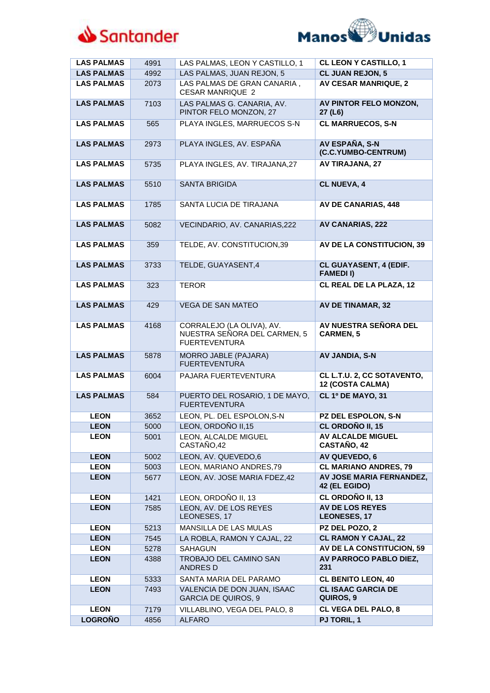



| <b>LAS PALMAS</b> | 4991 | LAS PALMAS, LEON Y CASTILLO, 1                                                    | <b>CL LEON Y CASTILLO, 1</b>                     |
|-------------------|------|-----------------------------------------------------------------------------------|--------------------------------------------------|
| <b>LAS PALMAS</b> | 4992 | LAS PALMAS, JUAN REJON, 5                                                         | <b>CL JUAN REJON, 5</b>                          |
| <b>LAS PALMAS</b> | 2073 | LAS PALMAS DE GRAN CANARIA,<br><b>CESAR MANRIQUE 2</b>                            | <b>AV CESAR MANRIQUE, 2</b>                      |
| <b>LAS PALMAS</b> | 7103 | LAS PALMAS G. CANARIA, AV.<br>PINTOR FELO MONZON, 27                              | AV PINTOR FELO MONZON,<br>27 (L6)                |
| <b>LAS PALMAS</b> | 565  | PLAYA INGLES, MARRUECOS S-N                                                       | <b>CL MARRUECOS, S-N</b>                         |
| <b>LAS PALMAS</b> | 2973 | PLAYA INGLES, AV. ESPAÑA                                                          | <b>AV ESPAÑA, S-N</b><br>(C.C.YUMBO-CENTRUM)     |
| <b>LAS PALMAS</b> | 5735 | PLAYA INGLES, AV. TIRAJANA,27                                                     | <b>AV TIRAJANA, 27</b>                           |
| <b>LAS PALMAS</b> | 5510 | <b>SANTA BRIGIDA</b>                                                              | <b>CL NUEVA, 4</b>                               |
| <b>LAS PALMAS</b> | 1785 | SANTA LUCIA DE TIRAJANA                                                           | <b>AV DE CANARIAS, 448</b>                       |
| <b>LAS PALMAS</b> | 5082 | VECINDARIO, AV. CANARIAS, 222                                                     | <b>AV CANARIAS, 222</b>                          |
| <b>LAS PALMAS</b> | 359  | TELDE, AV. CONSTITUCION,39                                                        | AV DE LA CONSTITUCION, 39                        |
| <b>LAS PALMAS</b> | 3733 | TELDE, GUAYASENT,4                                                                | <b>CL GUAYASENT, 4 (EDIF.</b><br><b>FAMEDII)</b> |
| <b>LAS PALMAS</b> | 323  | <b>TEROR</b>                                                                      | <b>CL REAL DE LA PLAZA, 12</b>                   |
| <b>LAS PALMAS</b> | 429  | <b>VEGA DE SAN MATEO</b>                                                          | <b>AV DE TINAMAR, 32</b>                         |
| <b>LAS PALMAS</b> | 4168 | CORRALEJO (LA OLIVA), AV.<br>NUESTRA SEÑORA DEL CARMEN, 5<br><b>FUERTEVENTURA</b> | AV NUESTRA SEÑORA DEL<br><b>CARMEN, 5</b>        |
| <b>LAS PALMAS</b> | 5878 | MORRO JABLE (PAJARA)<br><b>FUERTEVENTURA</b>                                      | AV JANDIA, S-N                                   |
| <b>LAS PALMAS</b> | 6004 | PAJARA FUERTEVENTURA                                                              | CL L.T.U. 2, CC SOTAVENTO,<br>12 (COSTA CALMA)   |
| <b>LAS PALMAS</b> | 584  | PUERTO DEL ROSARIO, 1 DE MAYO,<br><b>FUERTEVENTURA</b>                            | CL 1º DE MAYO, 31                                |
| <b>LEON</b>       | 3652 | LEON, PL. DEL ESPOLON, S-N                                                        | PZ DEL ESPOLON, S-N                              |
| <b>LEON</b>       | 5000 | LEON, ORDOÑO II,15                                                                | CL ORDOÑO II, 15                                 |
| <b>LEON</b>       | 5001 | LEON, ALCALDE MIGUEL<br>CASTAÑO,42                                                | AV ALCALDE MIGUEL<br>CASTAÑO, 42                 |
| <b>LEON</b>       | 5002 | LEON, AV. QUEVEDO,6                                                               | AV QUEVEDO, 6                                    |
| <b>LEON</b>       | 5003 | LEON, MARIANO ANDRES, 79                                                          | <b>CL MARIANO ANDRES, 79</b>                     |
| <b>LEON</b>       | 5677 | LEON, AV. JOSE MARIA FDEZ,42                                                      | AV JOSE MARIA FERNANDEZ,<br>42 (EL EGIDO)        |
| <b>LEON</b>       | 1421 | LEON, ORDOÑO II, 13                                                               | CL ORDOÑO II, 13                                 |
| <b>LEON</b>       | 7585 | LEON, AV. DE LOS REYES<br>LEONESES, 17                                            | <b>AV DE LOS REYES</b><br><b>LEONESES, 17</b>    |
| <b>LEON</b>       | 5213 | MANSILLA DE LAS MULAS                                                             | PZ DEL POZO, 2                                   |
| <b>LEON</b>       | 7545 | LA ROBLA, RAMON Y CAJAL, 22                                                       | <b>CL RAMON Y CAJAL, 22</b>                      |
| <b>LEON</b>       | 5278 | <b>SAHAGUN</b>                                                                    | AV DE LA CONSTITUCION, 59                        |
| <b>LEON</b>       | 4388 | TROBAJO DEL CAMINO SAN<br><b>ANDRES D</b>                                         | <b>AV PARROCO PABLO DIEZ,</b><br>231             |
| <b>LEON</b>       | 5333 | SANTA MARIA DEL PARAMO                                                            | <b>CL BENITO LEON, 40</b>                        |
| <b>LEON</b>       | 7493 | VALENCIA DE DON JUAN, ISAAC<br><b>GARCIA DE QUIROS, 9</b>                         | <b>CL ISAAC GARCIA DE</b><br>QUIROS, 9           |
| <b>LEON</b>       | 7179 | VILLABLINO, VEGA DEL PALO, 8                                                      | <b>CL VEGA DEL PALO, 8</b>                       |
| <b>LOGROÑO</b>    | 4856 | <b>ALFARO</b>                                                                     | <b>PJ TORIL, 1</b>                               |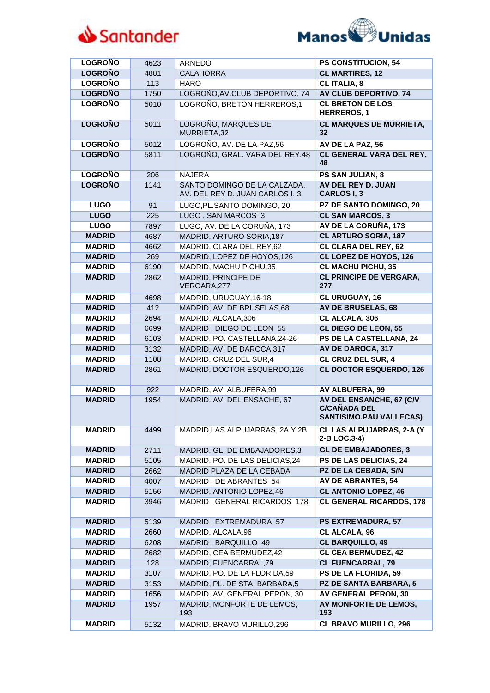



| <b>LOGROÑO</b> | 4623 | <b>ARNEDO</b>                                                   | PS CONSTITUCION, 54                                                               |
|----------------|------|-----------------------------------------------------------------|-----------------------------------------------------------------------------------|
| <b>LOGROÑO</b> | 4881 | <b>CALAHORRA</b>                                                | <b>CL MARTIRES, 12</b>                                                            |
| <b>LOGROÑO</b> | 113  | <b>HARO</b>                                                     | <b>CL ITALIA, 8</b>                                                               |
| <b>LOGRONO</b> | 1750 | LOGROÑO, AV. CLUB DEPORTIVO, 74                                 | <b>AV CLUB DEPORTIVO, 74</b>                                                      |
| <b>LOGROÑO</b> | 5010 | LOGROÑO, BRETON HERREROS, 1                                     | <b>CL BRETON DE LOS</b><br><b>HERREROS, 1</b>                                     |
| <b>LOGROÑO</b> | 5011 | LOGROÑO, MARQUES DE<br>MURRIETA,32                              | <b>CL MARQUES DE MURRIETA,</b><br>32                                              |
| <b>LOGROÑO</b> | 5012 | LOGROÑO, AV. DE LA PAZ,56                                       | AV DE LA PAZ, 56                                                                  |
| <b>LOGROÑO</b> | 5811 | LOGROÑO, GRAL. VARA DEL REY, 48                                 | CL GENERAL VARA DEL REY,<br>48                                                    |
| <b>LOGROÑO</b> | 206  | <b>NAJERA</b>                                                   | PS SAN JULIAN, 8                                                                  |
| <b>LOGROÑO</b> | 1141 | SANTO DOMINGO DE LA CALZADA,<br>AV. DEL REY D. JUAN CARLOS I, 3 | AV DEL REY D. JUAN<br><b>CARLOSI, 3</b>                                           |
| <b>LUGO</b>    | 91   | LUGO, PL. SANTO DOMINGO, 20                                     | PZ DE SANTO DOMINGO, 20                                                           |
| <b>LUGO</b>    | 225  | LUGO, SAN MARCOS 3                                              | <b>CL SAN MARCOS, 3</b>                                                           |
| <b>LUGO</b>    | 7897 | LUGO, AV. DE LA CORUÑA, 173                                     | AV DE LA CORUÑA, 173                                                              |
| <b>MADRID</b>  | 4687 | MADRID, ARTURO SORIA, 187                                       | <b>CL ARTURO SORIA, 187</b>                                                       |
| <b>MADRID</b>  | 4662 | MADRID, CLARA DEL REY,62                                        | <b>CL CLARA DEL REY, 62</b>                                                       |
| <b>MADRID</b>  | 269  | MADRID, LOPEZ DE HOYOS, 126                                     | CL LOPEZ DE HOYOS, 126                                                            |
| <b>MADRID</b>  | 6190 | MADRID, MACHU PICHU,35                                          | <b>CL MACHU PICHU, 35</b>                                                         |
| <b>MADRID</b>  | 2862 | MADRID, PRINCIPE DE<br>VERGARA, 277                             | <b>CL PRINCIPE DE VERGARA,</b><br>277                                             |
| <b>MADRID</b>  | 4698 | MADRID, URUGUAY, 16-18                                          | CL URUGUAY, 16                                                                    |
| <b>MADRID</b>  | 412  | MADRID, AV. DE BRUSELAS, 68                                     | <b>AV DE BRUSELAS, 68</b>                                                         |
| <b>MADRID</b>  | 2694 | MADRID, ALCALA, 306                                             | CL ALCALA, 306                                                                    |
| <b>MADRID</b>  | 6699 | MADRID, DIEGO DE LEON 55                                        | <b>CL DIEGO DE LEON, 55</b>                                                       |
| <b>MADRID</b>  | 6103 | MADRID, PO. CASTELLANA, 24-26                                   | PS DE LA CASTELLANA, 24                                                           |
| <b>MADRID</b>  | 3132 | MADRID, AV. DE DAROCA, 317                                      | <b>AV DE DAROCA, 317</b>                                                          |
| <b>MADRID</b>  | 1108 | MADRID, CRUZ DEL SUR,4                                          | CL CRUZ DEL SUR, 4                                                                |
| <b>MADRID</b>  | 2861 | MADRID, DOCTOR ESQUERDO,126                                     | <b>CL DOCTOR ESQUERDO, 126</b>                                                    |
| <b>MADRID</b>  | 922  | MADRID, AV. ALBUFERA,99                                         | <b>AV ALBUFERA, 99</b>                                                            |
| <b>MADRID</b>  | 1954 | MADRID. AV. DEL ENSACHE, 67                                     | AV DEL ENSANCHE, 67 (C/V<br><b>C/CAÑADA DEL</b><br><b>SANTISIMO.PAU VALLECAS)</b> |
| <b>MADRID</b>  | 4499 | MADRID, LAS ALPUJARRAS, 2A Y 2B                                 | <b>CL LAS ALPUJARRAS, 2-A (Y</b><br>2-B LOC.3-4)                                  |
| <b>MADRID</b>  | 2711 | MADRID, GL. DE EMBAJADORES,3                                    | <b>GL DE EMBAJADORES, 3</b>                                                       |
| <b>MADRID</b>  | 5105 | MADRID, PO. DE LAS DELICIAS, 24                                 | PS DE LAS DELICIAS, 24                                                            |
| <b>MADRID</b>  | 2662 | MADRID PLAZA DE LA CEBADA                                       | PZ DE LA CEBADA, S/N                                                              |
| <b>MADRID</b>  | 4007 | MADRID, DE ABRANTES 54                                          | <b>AV DE ABRANTES, 54</b>                                                         |
| <b>MADRID</b>  | 5156 | MADRID, ANTONIO LOPEZ,46                                        | <b>CL ANTONIO LOPEZ, 46</b>                                                       |
| <b>MADRID</b>  | 3946 | MADRID, GENERAL RICARDOS 178                                    | <b>CL GENERAL RICARDOS, 178</b>                                                   |
| <b>MADRID</b>  | 5139 | MADRID, EXTREMADURA 57                                          | <b>PS EXTREMADURA, 57</b>                                                         |
| <b>MADRID</b>  | 2660 | MADRID, ALCALA, 96                                              | <b>CL ALCALA, 96</b>                                                              |
| <b>MADRID</b>  | 6208 | MADRID, BARQUILLO 49                                            | <b>CL BARQUILLO, 49</b>                                                           |
| <b>MADRID</b>  | 2682 | MADRID, CEA BERMUDEZ,42                                         | <b>CL CEA BERMUDEZ, 42</b>                                                        |
| <b>MADRID</b>  | 128  | MADRID, FUENCARRAL, 79                                          | <b>CL FUENCARRAL, 79</b>                                                          |
| <b>MADRID</b>  | 3107 | MADRID, PO. DE LA FLORIDA,59                                    | PS DE LA FLORIDA, 59                                                              |
| <b>MADRID</b>  | 3153 | MADRID, PL. DE STA. BARBARA,5                                   | PZ DE SANTA BARBARA, 5                                                            |
| <b>MADRID</b>  | 1656 | MADRID, AV. GENERAL PERON, 30                                   | <b>AV GENERAL PERON, 30</b>                                                       |
| <b>MADRID</b>  | 1957 | MADRID. MONFORTE DE LEMOS,<br>193                               | AV MONFORTE DE LEMOS,<br>193                                                      |
| <b>MADRID</b>  | 5132 | MADRID, BRAVO MURILLO,296                                       | <b>CL BRAVO MURILLO, 296</b>                                                      |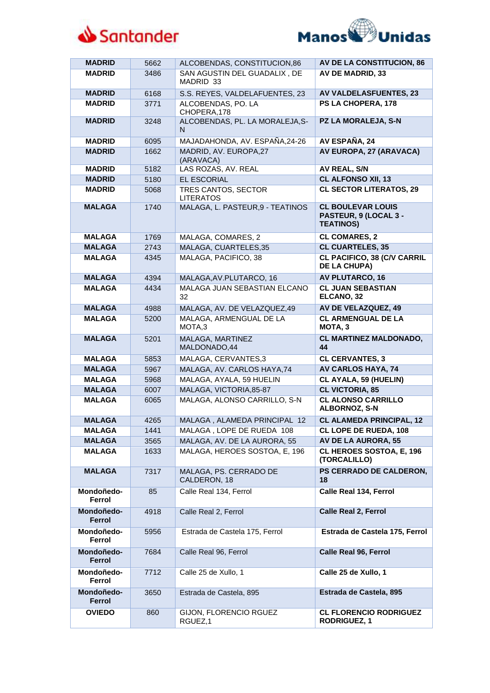



| <b>MADRID</b>        | 5662 | ALCOBENDAS, CONSTITUCION,86               | AV DE LA CONSTITUCION, 86                                             |
|----------------------|------|-------------------------------------------|-----------------------------------------------------------------------|
| <b>MADRID</b>        | 3486 | SAN AGUSTIN DEL GUADALIX, DE<br>MADRID 33 | <b>AV DE MADRID, 33</b>                                               |
| <b>MADRID</b>        | 6168 | S.S. REYES, VALDELAFUENTES, 23            | <b>AV VALDELASFUENTES, 23</b>                                         |
| <b>MADRID</b>        | 3771 | ALCOBENDAS, PO. LA<br>CHOPERA, 178        | PS LA CHOPERA, 178                                                    |
| <b>MADRID</b>        | 3248 | ALCOBENDAS, PL. LA MORALEJA, S-<br>N      | PZ LA MORALEJA, S-N                                                   |
| <b>MADRID</b>        | 6095 | MAJADAHONDA, AV. ESPAÑA, 24-26            | AV ESPAÑA, 24                                                         |
| <b>MADRID</b>        | 1662 | MADRID, AV. EUROPA,27<br>(ARAVACA)        | AV EUROPA, 27 (ARAVACA)                                               |
| <b>MADRID</b>        | 5182 | LAS ROZAS, AV. REAL                       | <b>AV REAL, S/N</b>                                                   |
| <b>MADRID</b>        | 5180 | EL ESCORIAL                               | <b>CL ALFONSO XII, 13</b>                                             |
| <b>MADRID</b>        | 5068 | TRES CANTOS, SECTOR<br><b>LITERATOS</b>   | <b>CL SECTOR LITERATOS, 29</b>                                        |
| <b>MALAGA</b>        | 1740 | MALAGA, L. PASTEUR, 9 - TEATINOS          | <b>CL BOULEVAR LOUIS</b><br>PASTEUR, 9 (LOCAL 3 -<br><b>TEATINOS)</b> |
| <b>MALAGA</b>        | 1769 | MALAGA, COMARES, 2                        | <b>CL COMARES, 2</b>                                                  |
| <b>MALAGA</b>        | 2743 | MALAGA, CUARTELES,35                      | <b>CL CUARTELES, 35</b>                                               |
| <b>MALAGA</b>        | 4345 | MALAGA, PACIFICO, 38                      | <b>CL PACIFICO, 38 (C/V CARRIL</b><br><b>DE LA CHUPA)</b>             |
| <b>MALAGA</b>        | 4394 | MALAGA, AV. PLUTARCO, 16                  | <b>AV PLUTARCO, 16</b>                                                |
| <b>MALAGA</b>        | 4434 | MALAGA JUAN SEBASTIAN ELCANO<br>32        | <b>CL JUAN SEBASTIAN</b><br>ELCANO, 32                                |
| <b>MALAGA</b>        | 4988 | MALAGA, AV. DE VELAZQUEZ,49               | AV DE VELAZQUEZ, 49                                                   |
| <b>MALAGA</b>        | 5200 | MALAGA, ARMENGUAL DE LA<br>MOTA,3         | <b>CL ARMENGUAL DE LA</b><br>MOTA, 3                                  |
| <b>MALAGA</b>        | 5201 | MALAGA, MARTINEZ<br>MALDONADO,44          | <b>CL MARTINEZ MALDONADO,</b><br>44                                   |
| <b>MALAGA</b>        | 5853 | MALAGA, CERVANTES,3                       | <b>CL CERVANTES, 3</b>                                                |
| <b>MALAGA</b>        | 5967 | MALAGA, AV. CARLOS HAYA, 74               | <b>AV CARLOS HAYA, 74</b>                                             |
| <b>MALAGA</b>        | 5968 | MALAGA, AYALA, 59 HUELIN                  | <b>CL AYALA, 59 (HUELIN)</b>                                          |
| <b>MALAGA</b>        | 6007 | MALAGA, VICTORIA, 85-87                   | <b>CL VICTORIA, 85</b>                                                |
| <b>MALAGA</b>        | 6065 | MALAGA, ALONSO CARRILLO, S-N              | <b>CL ALONSO CARRILLO</b><br>ALBORNOZ, S-N                            |
| <b>MALAGA</b>        | 4265 | MALAGA, ALAMEDA PRINCIPAL 12              | <b>CL ALAMEDA PRINCIPAL, 12</b>                                       |
| <b>MALAGA</b>        | 1441 | MALAGA, LOPE DE RUEDA 108                 | CL LOPE DE RUEDA, 108                                                 |
| <b>MALAGA</b>        | 3565 | MALAGA, AV. DE LA AURORA, 55              | <b>AV DE LA AURORA, 55</b>                                            |
| <b>MALAGA</b>        | 1633 | MALAGA, HEROES SOSTOA, E, 196             | CL HEROES SOSTOA, E, 196<br>(TORCALILLO)                              |
| <b>MALAGA</b>        | 7317 | MALAGA, PS. CERRADO DE<br>CALDERON, 18    | PS CERRADO DE CALDERON,<br>18                                         |
| Mondoñedo-<br>Ferrol | 85   | Calle Real 134, Ferrol                    | <b>Calle Real 134, Ferrol</b>                                         |
| Mondoñedo-<br>Ferrol | 4918 | Calle Real 2, Ferrol                      | <b>Calle Real 2, Ferrol</b>                                           |
| Mondoñedo-<br>Ferrol | 5956 | Estrada de Castela 175, Ferrol            | Estrada de Castela 175, Ferrol                                        |
| Mondoñedo-<br>Ferrol | 7684 | Calle Real 96, Ferrol                     | <b>Calle Real 96, Ferrol</b>                                          |
| Mondoñedo-<br>Ferrol | 7712 | Calle 25 de Xullo, 1                      | Calle 25 de Xullo, 1                                                  |
| Mondoñedo-<br>Ferrol | 3650 | Estrada de Castela, 895                   | Estrada de Castela, 895                                               |
| <b>OVIEDO</b>        | 860  | GIJON, FLORENCIO RGUEZ<br>RGUEZ,1         | <b>CL FLORENCIO RODRIGUEZ</b><br><b>RODRIGUEZ, 1</b>                  |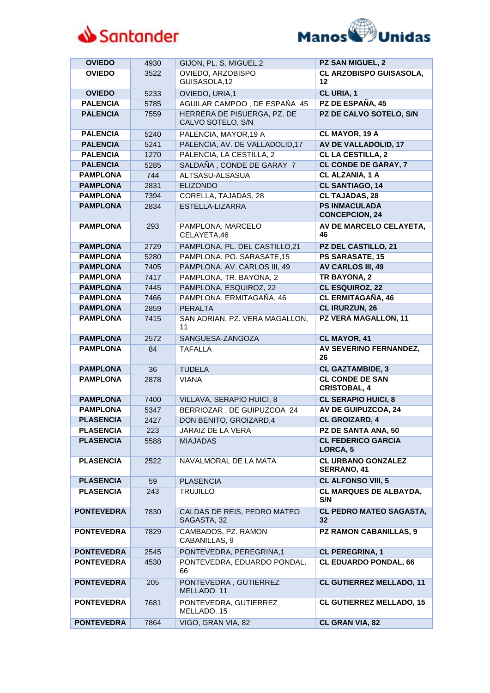



| <b>OVIEDO</b>     | 4930 | GIJON, PL. S. MIGUEL,2                           | <b>PZ SAN MIGUEL, 2</b>                       |
|-------------------|------|--------------------------------------------------|-----------------------------------------------|
| <b>OVIEDO</b>     | 3522 | OVIEDO, ARZOBISPO<br>GUISASOLA,12                | CL ARZOBISPO GUISASOLA,<br>12                 |
| <b>OVIEDO</b>     | 5233 | OVIEDO, URIA,1                                   | CL URIA, 1                                    |
| <b>PALENCIA</b>   | 5785 | AGUILAR CAMPOO, DE ESPAÑA 45                     | PZ DE ESPAÑA, 45                              |
| <b>PALENCIA</b>   | 7559 | HERRERA DE PISUERGA, PZ. DE<br>CALVO SOTELO, S/N | PZ DE CALVO SOTELO, S/N                       |
| <b>PALENCIA</b>   | 5240 | PALENCIA, MAYOR, 19 A                            | CL MAYOR, 19 A                                |
| <b>PALENCIA</b>   | 5241 | PALENCIA, AV. DE VALLADOLID, 17                  | <b>AV DE VALLADOLID, 17</b>                   |
| <b>PALENCIA</b>   | 1270 | PALENCIA, LA CESTILLA, 2                         | <b>CL LA CESTILLA, 2</b>                      |
| <b>PALENCIA</b>   | 5285 | SALDAÑA, CONDE DE GARAY 7                        | <b>CL CONDE DE GARAY, 7</b>                   |
| <b>PAMPLONA</b>   | 744  | ALTSASU-ALSASUA                                  | <b>CL ALZANIA, 1 A</b>                        |
| <b>PAMPLONA</b>   | 2831 | <b>ELIZONDO</b>                                  | <b>CL SANTIAGO, 14</b>                        |
| <b>PAMPLONA</b>   | 7394 | CORELLA, TAJADAS, 28                             | <b>CL TAJADAS, 28</b>                         |
| <b>PAMPLONA</b>   | 2834 | ESTELLA-LIZARRA                                  | <b>PS INMACULADA</b><br><b>CONCEPCION, 24</b> |
| <b>PAMPLONA</b>   | 293  | PAMPLONA, MARCELO<br>CELAYETA,46                 | AV DE MARCELO CELAYETA,<br>46                 |
| <b>PAMPLONA</b>   | 2729 | PAMPLONA, PL. DEL CASTILLO,21                    | PZ DEL CASTILLO, 21                           |
| <b>PAMPLONA</b>   | 5280 | PAMPLONA, PO. SARASATE, 15                       | PS SARASATE, 15                               |
| <b>PAMPLONA</b>   | 7405 | PAMPLONA, AV. CARLOS III, 49                     | <b>AV CARLOS III, 49</b>                      |
| <b>PAMPLONA</b>   | 7417 | PAMPLONA, TR. BAYONA, 2                          | <b>TR BAYONA, 2</b>                           |
| <b>PAMPLONA</b>   | 7445 | PAMPLONA, ESQUIROZ, 22                           | <b>CL ESQUIROZ, 22</b>                        |
| <b>PAMPLONA</b>   | 7466 | PAMPLONA, ERMITAGAÑA, 46                         | <b>CL ERMITAGAÑA, 46</b>                      |
| <b>PAMPLONA</b>   | 2859 | <b>PERALTA</b>                                   | <b>CL IRURZUN, 26</b>                         |
| <b>PAMPLONA</b>   | 7415 | SAN ADRIAN, PZ. VERA MAGALLON,<br>11             | PZ VERA MAGALLON, 11                          |
| <b>PAMPLONA</b>   | 2572 | SANGUESA-ZANGOZA                                 | CL MAYOR, 41                                  |
| <b>PAMPLONA</b>   | 84   | <b>TAFALLA</b>                                   | AV SEVERINO FERNANDEZ,<br>26                  |
| <b>PAMPLONA</b>   | 36   | <b>TUDELA</b>                                    | <b>CL GAZTAMBIDE, 3</b>                       |
| <b>PAMPLONA</b>   | 2878 | <b>VIANA</b>                                     | <b>CL CONDE DE SAN</b><br><b>CRISTOBAL, 4</b> |
| <b>PAMPLONA</b>   | 7400 | VILLAVA, SERAPIO HUICI, 8                        | <b>CL SERAPIO HUICI, 8</b>                    |
| <b>PAMPLONA</b>   | 5347 | BERRIOZAR, DE GUIPUZCOA 24                       | AV DE GUIPUZCOA, 24                           |
| <b>PLASENCIA</b>  | 2427 | DON BENITO, GROIZARD, 4                          | <b>CL GROIZARD, 4</b>                         |
| <b>PLASENCIA</b>  | 223  | JARAIZ DE LA VERA                                | PZ DE SANTA ANA, 50                           |
| <b>PLASENCIA</b>  | 5588 | <b>MIAJADAS</b>                                  | <b>CL FEDERICO GARCIA</b><br>LORCA, 5         |
| <b>PLASENCIA</b>  | 2522 | NAVALMORAL DE LA MATA                            | <b>CL URBANO GONZALEZ</b><br>SERRANO, 41      |
| <b>PLASENCIA</b>  | 59   | <b>PLASENCIA</b>                                 | <b>CL ALFONSO VIII, 5</b>                     |
| <b>PLASENCIA</b>  | 243  | <b>TRUJILLO</b>                                  | <b>CL MARQUES DE ALBAYDA,</b><br>S/N          |
| <b>PONTEVEDRA</b> | 7830 | CALDAS DE REIS, PEDRO MATEO<br>SAGASTA, 32       | <b>CL PEDRO MATEO SAGASTA,</b><br>32          |
| <b>PONTEVEDRA</b> | 7829 | CAMBADOS, PZ. RAMON<br>CABANILLAS, 9             | <b>PZ RAMON CABANILLAS, 9</b>                 |
| <b>PONTEVEDRA</b> | 2545 | PONTEVEDRA, PEREGRINA, 1                         | <b>CL PEREGRINA, 1</b>                        |
| <b>PONTEVEDRA</b> | 4530 | PONTEVEDRA, EDUARDO PONDAL,<br>66                | <b>CL EDUARDO PONDAL, 66</b>                  |
| <b>PONTEVEDRA</b> | 205  | PONTEVEDRA, GUTIERREZ<br>MELLADO 11              | <b>CL GUTIERREZ MELLADO, 11</b>               |
| <b>PONTEVEDRA</b> | 7681 | PONTEVEDRA, GUTIERREZ<br>MELLADO, 15             | <b>CL GUTIERREZ MELLADO, 15</b>               |
| <b>PONTEVEDRA</b> | 7864 | VIGO, GRAN VIA, 82                               | CL GRAN VIA, 82                               |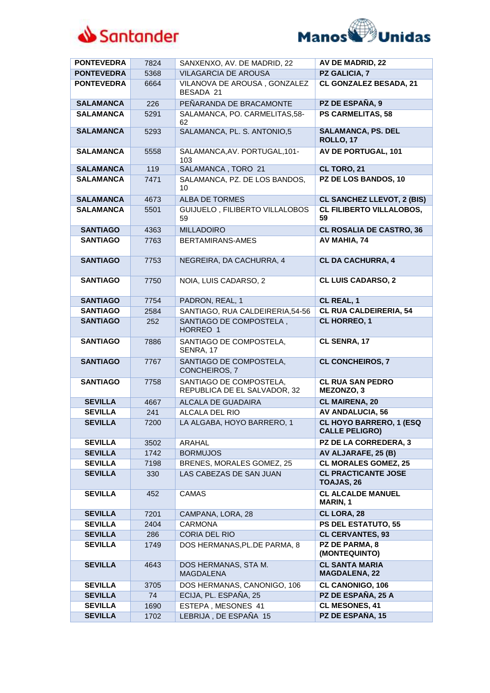



| <b>PONTEVEDRA</b> | 7824 | SANXENXO, AV. DE MADRID, 22                             | <b>AV DE MADRID, 22</b>                                 |
|-------------------|------|---------------------------------------------------------|---------------------------------------------------------|
| <b>PONTEVEDRA</b> | 5368 | <b>VILAGARCIA DE AROUSA</b>                             | PZ GALICIA, 7                                           |
| <b>PONTEVEDRA</b> | 6664 | VILANOVA DE AROUSA, GONZALEZ<br>BESADA 21               | <b>CL GONZALEZ BESADA, 21</b>                           |
| <b>SALAMANCA</b>  | 226  | PEÑARANDA DE BRACAMONTE                                 | PZ DE ESPAÑA, 9                                         |
| <b>SALAMANCA</b>  | 5291 | SALAMANCA, PO. CARMELITAS, 58-<br>62                    | <b>PS CARMELITAS, 58</b>                                |
| <b>SALAMANCA</b>  | 5293 | SALAMANCA, PL. S. ANTONIO,5                             | <b>SALAMANCA, PS. DEL</b><br>ROLLO, 17                  |
| <b>SALAMANCA</b>  | 5558 | SALAMANCA, AV. PORTUGAL, 101-<br>103                    | <b>AV DE PORTUGAL, 101</b>                              |
| <b>SALAMANCA</b>  | 119  | SALAMANCA, TORO 21                                      | CL TORO, 21                                             |
| <b>SALAMANCA</b>  | 7471 | SALAMANCA, PZ. DE LOS BANDOS,<br>10                     | PZ DE LOS BANDOS, 10                                    |
| <b>SALAMANCA</b>  | 4673 | <b>ALBA DE TORMES</b>                                   | <b>CL SANCHEZ LLEVOT, 2 (BIS)</b>                       |
| <b>SALAMANCA</b>  | 5501 | GUIJUELO, FILIBERTO VILLALOBOS<br>59                    | <b>CL FILIBERTO VILLALOBOS,</b><br>59                   |
| <b>SANTIAGO</b>   | 4363 | <b>MILLADOIRO</b>                                       | <b>CL ROSALIA DE CASTRO, 36</b>                         |
| <b>SANTIAGO</b>   | 7763 | BERTAMIRANS-AMES                                        | AV MAHIA, 74                                            |
| <b>SANTIAGO</b>   | 7753 | NEGREIRA, DA CACHURRA, 4                                | <b>CL DA CACHURRA, 4</b>                                |
| <b>SANTIAGO</b>   | 7750 | NOIA, LUIS CADARSO, 2                                   | <b>CL LUIS CADARSO, 2</b>                               |
| <b>SANTIAGO</b>   | 7754 | PADRON, REAL, 1                                         | CL REAL, 1                                              |
| <b>SANTIAGO</b>   | 2584 | SANTIAGO, RUA CALDEIRERIA, 54-56                        | <b>CL RUA CALDEIRERIA, 54</b>                           |
| <b>SANTIAGO</b>   | 252  | SANTIAGO DE COMPOSTELA,<br>HORREO 1                     | <b>CL HORREO, 1</b>                                     |
| <b>SANTIAGO</b>   | 7886 | SANTIAGO DE COMPOSTELA,<br>SENRA, 17                    | CL SENRA, 17                                            |
| <b>SANTIAGO</b>   | 7767 | SANTIAGO DE COMPOSTELA,<br>CONCHEIROS, 7                | <b>CL CONCHEIROS, 7</b>                                 |
| <b>SANTIAGO</b>   | 7758 | SANTIAGO DE COMPOSTELA,<br>REPUBLICA DE EL SALVADOR, 32 | <b>CL RUA SAN PEDRO</b><br>MEZONZO, 3                   |
| <b>SEVILLA</b>    | 4667 | <b>ALCALA DE GUADAIRA</b>                               | <b>CL MAIRENA, 20</b>                                   |
| <b>SEVILLA</b>    | 241  | ALCALA DEL RIO                                          | <b>AV ANDALUCIA, 56</b>                                 |
| <b>SEVILLA</b>    | 7200 | LA ALGABA, HOYO BARRERO, 1                              | <b>CL HOYO BARRERO, 1 (ESQ</b><br><b>CALLE PELIGRO)</b> |
| <b>SEVILLA</b>    | 3502 | ARAHAL                                                  | <b>PZ DE LA CORREDERA, 3</b>                            |
| <b>SEVILLA</b>    | 1742 | <b>BORMUJOS</b>                                         | AV ALJARAFE, 25 (B)                                     |
| <b>SEVILLA</b>    | 7198 | BRENES, MORALES GOMEZ, 25                               | <b>CL MORALES GOMEZ, 25</b>                             |
| <b>SEVILLA</b>    | 330  | LAS CABEZAS DE SAN JUAN                                 | <b>CL PRACTICANTE JOSE</b><br>TOAJAS, 26                |
| <b>SEVILLA</b>    | 452  | <b>CAMAS</b>                                            | <b>CL ALCALDE MANUEL</b><br>MARIN, 1                    |
| <b>SEVILLA</b>    | 7201 | CAMPANA, LORA, 28                                       | CL LORA, 28                                             |
| <b>SEVILLA</b>    | 2404 | <b>CARMONA</b>                                          | <b>PS DEL ESTATUTO, 55</b>                              |
| <b>SEVILLA</b>    | 286  | CORIA DEL RIO                                           | <b>CL CERVANTES, 93</b>                                 |
| <b>SEVILLA</b>    | 1749 | DOS HERMANAS, PL.DE PARMA, 8                            | PZ DE PARMA, 8<br>(MONTEQUINTO)                         |
| <b>SEVILLA</b>    | 4643 | DOS HERMANAS, STA M.<br><b>MAGDALENA</b>                | <b>CL SANTA MARIA</b><br><b>MAGDALENA, 22</b>           |
| <b>SEVILLA</b>    | 3705 | DOS HERMANAS, CANONIGO, 106                             | <b>CL CANONIGO, 106</b>                                 |
| <b>SEVILLA</b>    | 74   | ECIJA, PL. ESPAÑA, 25                                   | PZ DE ESPAÑA, 25 A                                      |
| <b>SEVILLA</b>    | 1690 | ESTEPA, MESONES 41                                      | <b>CL MESONES, 41</b>                                   |
| <b>SEVILLA</b>    | 1702 | LEBRIJA, DE ESPAÑA 15                                   | PZ DE ESPAÑA, 15                                        |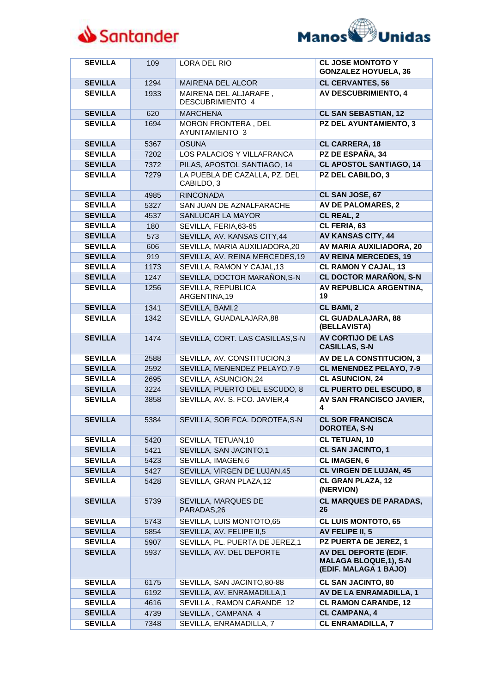



| <b>SEVILLA</b> | 109  | LORA DEL RIO                                     | <b>CL JOSE MONTOTO Y</b><br><b>GONZALEZ HOYUELA, 36</b>                        |
|----------------|------|--------------------------------------------------|--------------------------------------------------------------------------------|
| <b>SEVILLA</b> | 1294 | <b>MAIRENA DEL ALCOR</b>                         | <b>CL CERVANTES, 56</b>                                                        |
| <b>SEVILLA</b> | 1933 | MAIRENA DEL ALJARAFE,<br><b>DESCUBRIMIENTO 4</b> | <b>AV DESCUBRIMIENTO, 4</b>                                                    |
| <b>SEVILLA</b> | 620  | <b>MARCHENA</b>                                  | <b>CL SAN SEBASTIAN, 12</b>                                                    |
| <b>SEVILLA</b> | 1694 | MORON FRONTERA, DEL<br>AYUNTAMIENTO 3            | <b>PZ DEL AYUNTAMIENTO, 3</b>                                                  |
| <b>SEVILLA</b> | 5367 | <b>OSUNA</b>                                     | <b>CL CARRERA, 18</b>                                                          |
| <b>SEVILLA</b> | 7202 | LOS PALACIOS Y VILLAFRANCA                       | PZ DE ESPAÑA, 34                                                               |
| <b>SEVILLA</b> | 7372 | PILAS, APOSTOL SANTIAGO, 14                      | <b>CL APOSTOL SANTIAGO, 14</b>                                                 |
| <b>SEVILLA</b> | 7279 | LA PUEBLA DE CAZALLA, PZ. DEL<br>CABILDO, 3      | <b>PZ DEL CABILDO, 3</b>                                                       |
| <b>SEVILLA</b> | 4985 | <b>RINCONADA</b>                                 | CL SAN JOSE, 67                                                                |
| <b>SEVILLA</b> | 5327 | SAN JUAN DE AZNALFARACHE                         | <b>AV DE PALOMARES, 2</b>                                                      |
| <b>SEVILLA</b> | 4537 | SANLUCAR LA MAYOR                                | CL REAL, 2                                                                     |
| <b>SEVILLA</b> | 180  | SEVILLA, FERIA, 63-65                            | CL FERIA, 63                                                                   |
| <b>SEVILLA</b> | 573  | SEVILLA, AV. KANSAS CITY, 44                     | AV KANSAS CITY, 44                                                             |
| <b>SEVILLA</b> | 606  | SEVILLA, MARIA AUXILIADORA,20                    | AV MARIA AUXILIADORA, 20                                                       |
| <b>SEVILLA</b> | 919  | SEVILLA, AV. REINA MERCEDES, 19                  | <b>AV REINA MERCEDES, 19</b>                                                   |
| <b>SEVILLA</b> | 1173 | SEVILLA, RAMON Y CAJAL, 13                       | <b>CL RAMON Y CAJAL, 13</b>                                                    |
| <b>SEVILLA</b> | 1247 | SEVILLA, DOCTOR MARAÑON, S-N                     | <b>CL DOCTOR MARAÑON, S-N</b>                                                  |
| <b>SEVILLA</b> | 1256 | SEVILLA, REPUBLICA<br>ARGENTINA,19               | AV REPUBLICA ARGENTINA,<br>19                                                  |
| <b>SEVILLA</b> | 1341 | SEVILLA, BAMI,2                                  | <b>CL BAMI, 2</b>                                                              |
| <b>SEVILLA</b> | 1342 | SEVILLA, GUADALAJARA,88                          | <b>CL GUADALAJARA, 88</b><br>(BELLAVISTA)                                      |
| <b>SEVILLA</b> | 1474 | SEVILLA, CORT. LAS CASILLAS, S-N                 | <b>AV CORTIJO DE LAS</b><br><b>CASILLAS, S-N</b>                               |
| <b>SEVILLA</b> | 2588 | SEVILLA, AV. CONSTITUCION,3                      | AV DE LA CONSTITUCION, 3                                                       |
| <b>SEVILLA</b> | 2592 | SEVILLA, MENENDEZ PELAYO, 7-9                    | <b>CL MENENDEZ PELAYO, 7-9</b>                                                 |
| <b>SEVILLA</b> | 2695 | SEVILLA, ASUNCION, 24                            | <b>CL ASUNCION, 24</b>                                                         |
| <b>SEVILLA</b> | 3224 | SEVILLA, PUERTO DEL ESCUDO, 8                    | <b>CL PUERTO DEL ESCUDO, 8</b>                                                 |
| <b>SEVILLA</b> | 3858 | SEVILLA, AV. S. FCO. JAVIER,4                    | AV SAN FRANCISCO JAVIER,<br>4                                                  |
| <b>SEVILLA</b> | 5384 | SEVILLA, SOR FCA. DOROTEA, S-N                   | <b>CL SOR FRANCISCA</b><br><b>DOROTEA, S-N</b>                                 |
| <b>SEVILLA</b> | 5420 | SEVILLA, TETUAN, 10                              | <b>CL TETUAN, 10</b>                                                           |
| <b>SEVILLA</b> | 5421 | SEVILLA, SAN JACINTO,1                           | <b>CL SAN JACINTO, 1</b>                                                       |
| <b>SEVILLA</b> | 5423 | SEVILLA, IMAGEN, 6                               | <b>CL IMAGEN, 6</b>                                                            |
| <b>SEVILLA</b> | 5427 | SEVILLA, VIRGEN DE LUJAN, 45                     | <b>CL VIRGEN DE LUJAN, 45</b>                                                  |
| <b>SEVILLA</b> | 5428 | SEVILLA, GRAN PLAZA, 12                          | <b>CL GRAN PLAZA, 12</b><br>(NERVION)                                          |
| <b>SEVILLA</b> | 5739 | SEVILLA, MARQUES DE<br>PARADAS.26                | <b>CL MARQUES DE PARADAS,</b><br>26                                            |
| <b>SEVILLA</b> | 5743 | SEVILLA, LUIS MONTOTO,65                         | <b>CL LUIS MONTOTO, 65</b>                                                     |
| <b>SEVILLA</b> | 5854 | SEVILLA, AV. FELIPE II,5                         | AV FELIPE II, 5                                                                |
| <b>SEVILLA</b> | 5907 | SEVILLA, PL. PUERTA DE JEREZ,1                   | PZ PUERTA DE JEREZ, 1                                                          |
| <b>SEVILLA</b> | 5937 | SEVILLA, AV. DEL DEPORTE                         | AV DEL DEPORTE (EDIF.<br><b>MALAGA BLOQUE,1), S-N</b><br>(EDIF. MALAGA 1 BAJO) |
| <b>SEVILLA</b> | 6175 | SEVILLA, SAN JACINTO, 80-88                      | <b>CL SAN JACINTO, 80</b>                                                      |
| <b>SEVILLA</b> | 6192 | SEVILLA, AV. ENRAMADILLA,1                       | AV DE LA ENRAMADILLA, 1                                                        |
| <b>SEVILLA</b> | 4616 | SEVILLA, RAMON CARANDE 12                        | <b>CL RAMON CARANDE, 12</b>                                                    |
| <b>SEVILLA</b> | 4739 | SEVILLA, CAMPANA 4                               | <b>CL CAMPANA, 4</b>                                                           |
| <b>SEVILLA</b> | 7348 | SEVILLA, ENRAMADILLA, 7                          | <b>CL ENRAMADILLA, 7</b>                                                       |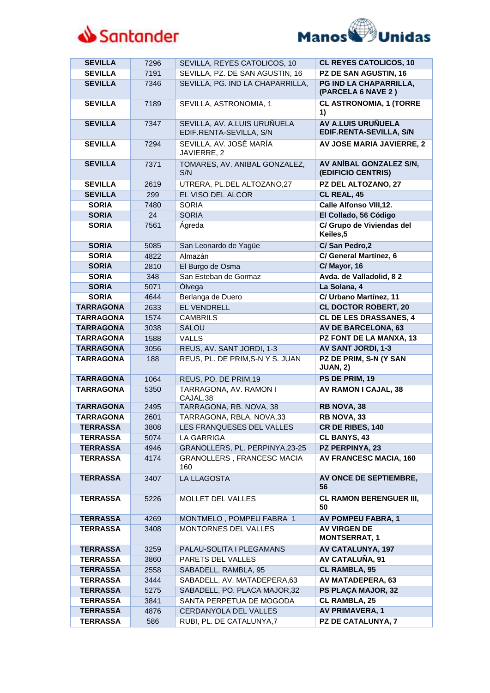



| <b>SEVILLA</b>   | 7296 | SEVILLA, REYES CATOLICOS, 10                            | <b>CL REYES CATOLICOS, 10</b>                        |
|------------------|------|---------------------------------------------------------|------------------------------------------------------|
| <b>SEVILLA</b>   | 7191 | SEVILLA, PZ. DE SAN AGUSTIN, 16                         | PZ DE SAN AGUSTIN, 16                                |
| <b>SEVILLA</b>   | 7346 | SEVILLA, PG. IND LA CHAPARRILLA,                        | PG IND LA CHAPARRILLA,<br>(PARCELA 6 NAVE 2)         |
| <b>SEVILLA</b>   | 7189 | SEVILLA, ASTRONOMIA, 1                                  | <b>CL ASTRONOMIA, 1 (TORRE</b><br>1)                 |
| <b>SEVILLA</b>   | 7347 | SEVILLA, AV. A.LUIS URUÑUELA<br>EDIF.RENTA-SEVILLA, S/N | <b>AV A.LUIS URUÑUELA</b><br>EDIF.RENTA-SEVILLA, S/N |
| <b>SEVILLA</b>   | 7294 | SEVILLA, AV. JOSÉ MARÍA<br>JAVIERRE, 2                  | AV JOSE MARIA JAVIERRE, 2                            |
| <b>SEVILLA</b>   | 7371 | TOMARES, AV. ANIBAL GONZALEZ,<br>S/N                    | AV ANÍBAL GONZALEZ S/N,<br>(EDIFICIO CENTRIS)        |
| <b>SEVILLA</b>   | 2619 | UTRERA, PL.DEL ALTOZANO,27                              | PZ DEL ALTOZANO, 27                                  |
| <b>SEVILLA</b>   | 299  | EL VISO DEL ALCOR                                       | CL REAL, 45                                          |
| <b>SORIA</b>     | 7480 | <b>SORIA</b>                                            | <b>Calle Alfonso VIII,12.</b>                        |
| <b>SORIA</b>     | 24   | <b>SORIA</b>                                            | El Collado, 56 Código                                |
| <b>SORIA</b>     | 7561 | Ágreda                                                  | C/ Grupo de Viviendas del<br>Keiles, 5               |
| <b>SORIA</b>     | 5085 | San Leonardo de Yagüe                                   | C/San Pedro,2                                        |
| <b>SORIA</b>     | 4822 | Almazán                                                 | C/ General Martínez, 6                               |
| <b>SORIA</b>     | 2810 | El Burgo de Osma                                        | C/ Mayor, 16                                         |
| <b>SORIA</b>     | 348  | San Esteban de Gormaz                                   | Avda. de Valladolid, 82                              |
| <b>SORIA</b>     | 5071 | Ólvega                                                  | La Solana, 4                                         |
| <b>SORIA</b>     | 4644 | Berlanga de Duero                                       | C/ Urbano Martínez, 11                               |
| <b>TARRAGONA</b> | 2633 | <b>EL VENDRELL</b>                                      | <b>CL DOCTOR ROBERT, 20</b>                          |
| <b>TARRAGONA</b> | 1574 | <b>CAMBRILS</b>                                         | <b>CL DE LES DRASSANES, 4</b>                        |
| <b>TARRAGONA</b> | 3038 | <b>SALOU</b>                                            | <b>AV DE BARCELONA, 63</b>                           |
| <b>TARRAGONA</b> | 1588 | <b>VALLS</b>                                            | PZ FONT DE LA MANXA, 13                              |
| <b>TARRAGONA</b> | 3056 | REUS, AV. SANT JORDI, 1-3                               | AV SANT JORDI, 1-3                                   |
| <b>TARRAGONA</b> | 188  | REUS, PL. DE PRIM, S-N Y S. JUAN                        | PZ DE PRIM, S-N (Y SAN<br><b>JUAN, 2)</b>            |
| <b>TARRAGONA</b> | 1064 | REUS, PO. DE PRIM, 19                                   | PS DE PRIM, 19                                       |
| <b>TARRAGONA</b> | 5350 | TARRAGONA, AV. RAMON I<br>CAJAL,38                      | <b>AV RAMON I CAJAL, 38</b>                          |
| <b>TARRAGONA</b> | 2495 | TARRAGONA, RB. NOVA, 38                                 | RB NOVA, 38                                          |
| <b>TARRAGONA</b> | 2601 | TARRAGONA, RBLA. NOVA,33                                | RB NOVA, 33                                          |
| <b>TERRASSA</b>  | 3808 | LES FRANQUESES DEL VALLES                               | CR DE RIBES, 140                                     |
| <b>TERRASSA</b>  | 5074 | LA GARRIGA                                              | <b>CL BANYS, 43</b>                                  |
| <b>TERRASSA</b>  | 4946 | GRANOLLERS, PL. PERPINYA,23-25                          | <b>PZ PERPINYA, 23</b>                               |
| <b>TERRASSA</b>  | 4174 | GRANOLLERS, FRANCESC MACIA<br>160                       | <b>AV FRANCESC MACIA, 160</b>                        |
| <b>TERRASSA</b>  | 3407 | LA LLAGOSTA                                             | AV ONCE DE SEPTIEMBRE,<br>56                         |
| <b>TERRASSA</b>  | 5226 | MOLLET DEL VALLES                                       | <b>CL RAMON BERENGUER III,</b><br>50                 |
| <b>TERRASSA</b>  | 4269 | MONTMELO, POMPEU FABRA 1                                | <b>AV POMPEU FABRA, 1</b>                            |
| <b>TERRASSA</b>  | 3408 | MONTORNES DEL VALLES                                    | <b>AV VIRGEN DE</b><br><b>MONTSERRAT, 1</b>          |
| <b>TERRASSA</b>  | 3259 | PALAU-SOLITA I PLEGAMANS                                | AV CATALUNYA, 197                                    |
| <b>TERRASSA</b>  | 3860 | PARETS DEL VALLES                                       | AV CATALUÑA, 91                                      |
| <b>TERRASSA</b>  | 2558 | SABADELL, RAMBLA, 95                                    | <b>CL RAMBLA, 95</b>                                 |
| <b>TERRASSA</b>  | 3444 | SABADELL, AV. MATADEPERA, 63                            | AV MATADEPERA, 63                                    |
| <b>TERRASSA</b>  | 5275 | SABADELL, PO. PLACA MAJOR,32                            | PS PLAÇA MAJOR, 32                                   |
| <b>TERRASSA</b>  | 3841 | SANTA PERPETUA DE MOGODA                                | CL RAMBLA, 25                                        |
| <b>TERRASSA</b>  | 4876 | CERDANYOLA DEL VALLES                                   | <b>AV PRIMAVERA, 1</b>                               |
| <b>TERRASSA</b>  | 586  | RUBI, PL. DE CATALUNYA,7                                | PZ DE CATALUNYA, 7                                   |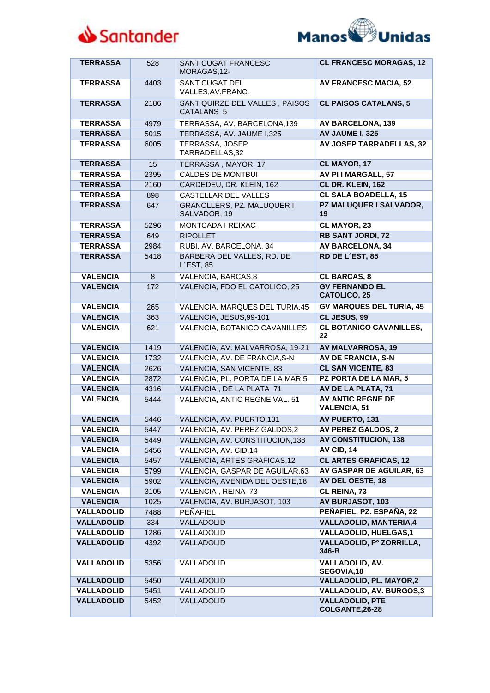



| <b>TERRASSA</b>   | 528  | SANT CUGAT FRANCESC<br>MORAGAS, 12-                     | <b>CL FRANCESC MORAGAS, 12</b>                  |
|-------------------|------|---------------------------------------------------------|-------------------------------------------------|
| <b>TERRASSA</b>   | 4403 | <b>SANT CUGAT DEL</b><br>VALLES, AV. FRANC.             | <b>AV FRANCESC MACIA, 52</b>                    |
| <b>TERRASSA</b>   | 2186 | SANT QUIRZE DEL VALLES, PAISOS<br>CATALANS <sub>5</sub> | <b>CL PAISOS CATALANS, 5</b>                    |
| <b>TERRASSA</b>   | 4979 | TERRASSA, AV. BARCELONA, 139                            | <b>AV BARCELONA, 139</b>                        |
| <b>TERRASSA</b>   | 5015 | TERRASSA, AV. JAUME 1,325                               | AV JAUME I, 325                                 |
| <b>TERRASSA</b>   | 6005 | TERRASSA, JOSEP<br>TARRADELLAS,32                       | <b>AV JOSEP TARRADELLAS, 32</b>                 |
| <b>TERRASSA</b>   | 15   | TERRASSA, MAYOR 17                                      | CL MAYOR, 17                                    |
| <b>TERRASSA</b>   | 2395 | <b>CALDES DE MONTBUI</b>                                | AV PI I MARGALL, 57                             |
| <b>TERRASSA</b>   | 2160 | CARDEDEU, DR. KLEIN, 162                                | CL DR. KLEIN, 162                               |
| <b>TERRASSA</b>   | 898  | <b>CASTELLAR DEL VALLES</b>                             | <b>CL SALA BOADELLA, 15</b>                     |
| <b>TERRASSA</b>   | 647  | GRANOLLERS, PZ. MALUQUER I<br>SALVADOR, 19              | PZ MALUQUER I SALVADOR,<br>19                   |
| <b>TERRASSA</b>   | 5296 | MONTCADA I REIXAC                                       | CL MAYOR, 23                                    |
| <b>TERRASSA</b>   | 649  | <b>RIPOLLET</b>                                         | <b>RB SANT JORDI, 72</b>                        |
| <b>TERRASSA</b>   | 2984 | RUBI, AV. BARCELONA, 34                                 | <b>AV BARCELONA, 34</b>                         |
| <b>TERRASSA</b>   | 5418 | BARBERA DEL VALLES, RD. DE<br>$L$ EST, 85               | RD DE L'EST, 85                                 |
| <b>VALENCIA</b>   | 8    | VALENCIA, BARCAS, 8                                     | <b>CL BARCAS, 8</b>                             |
| <b>VALENCIA</b>   | 172  | VALENCIA, FDO EL CATOLICO, 25                           | <b>GV FERNANDO EL</b><br><b>CATOLICO, 25</b>    |
| <b>VALENCIA</b>   | 265  | VALENCIA, MARQUES DEL TURIA, 45                         | <b>GV MARQUES DEL TURIA, 45</b>                 |
| <b>VALENCIA</b>   | 363  | VALENCIA, JESUS,99-101                                  | CL JESUS, 99                                    |
| <b>VALENCIA</b>   | 621  | <b>VALENCIA, BOTANICO CAVANILLES</b>                    | <b>CL BOTANICO CAVANILLES,</b><br>22            |
| <b>VALENCIA</b>   | 1419 | VALENCIA, AV. MALVARROSA, 19-21                         | <b>AV MALVARROSA, 19</b>                        |
| <b>VALENCIA</b>   | 1732 | VALENCIA, AV. DE FRANCIA, S-N                           | AV DE FRANCIA, S-N                              |
| <b>VALENCIA</b>   | 2626 | VALENCIA, SAN VICENTE, 83                               | <b>CL SAN VICENTE, 83</b>                       |
| <b>VALENCIA</b>   | 2872 | VALENCIA, PL. PORTA DE LA MAR,5                         | PZ PORTA DE LA MAR, 5                           |
| <b>VALENCIA</b>   | 4316 | VALENCIA, DE LA PLATA 71                                | AV DE LA PLATA, 71                              |
| <b>VALENCIA</b>   | 5444 | VALENCIA, ANTIC REGNE VAL.,51                           | <b>AV ANTIC REGNE DE</b><br><b>VALENCIA, 51</b> |
| <b>VALENCIA</b>   | 5446 | VALENCIA, AV. PUERTO, 131                               | AV PUERTO, 131                                  |
| <b>VALENCIA</b>   | 5447 | VALENCIA, AV. PEREZ GALDOS,2                            | AV PEREZ GALDOS, 2                              |
| <b>VALENCIA</b>   | 5449 | VALENCIA, AV. CONSTITUCION, 138                         | <b>AV CONSTITUCION, 138</b>                     |
| <b>VALENCIA</b>   | 5456 | VALENCIA, AV. CID, 14                                   | AV CID, 14                                      |
| <b>VALENCIA</b>   | 5457 | VALENCIA, ARTES GRAFICAS, 12                            | <b>CL ARTES GRAFICAS, 12</b>                    |
| <b>VALENCIA</b>   | 5799 | VALENCIA, GASPAR DE AGUILAR, 63                         | AV GASPAR DE AGUILAR, 63                        |
| <b>VALENCIA</b>   | 5902 | VALENCIA, AVENIDA DEL OESTE, 18                         | AV DEL OESTE, 18                                |
| <b>VALENCIA</b>   | 3105 | VALENCIA, REINA 73                                      | CL REINA, 73                                    |
| <b>VALENCIA</b>   | 1025 | VALENCIA, AV. BURJASOT, 103                             | <b>AV BURJASOT, 103</b>                         |
| <b>VALLADOLID</b> | 7488 | <b>PEÑAFIEL</b>                                         | PEÑAFIEL, PZ. ESPAÑA, 22                        |
| <b>VALLADOLID</b> | 334  | <b>VALLADOLID</b>                                       | <b>VALLADOLID, MANTERIA,4</b>                   |
| <b>VALLADOLID</b> | 1286 | VALLADOLID                                              | <b>VALLADOLID, HUELGAS,1</b>                    |
| <b>VALLADOLID</b> | 4392 | VALLADOLID                                              | VALLADOLID, Pº ZORRILLA,<br>346-B               |
| <b>VALLADOLID</b> | 5356 | VALLADOLID                                              | <b>VALLADOLID, AV.</b><br>SEGOVIA,18            |
| <b>VALLADOLID</b> | 5450 | VALLADOLID                                              | <b>VALLADOLID, PL. MAYOR,2</b>                  |
| <b>VALLADOLID</b> | 5451 | <b>VALLADOLID</b>                                       | <b>VALLADOLID, AV. BURGOS,3</b>                 |
| <b>VALLADOLID</b> | 5452 | <b>VALLADOLID</b>                                       | <b>VALLADOLID, PTE</b><br>COLGANTE, 26-28       |